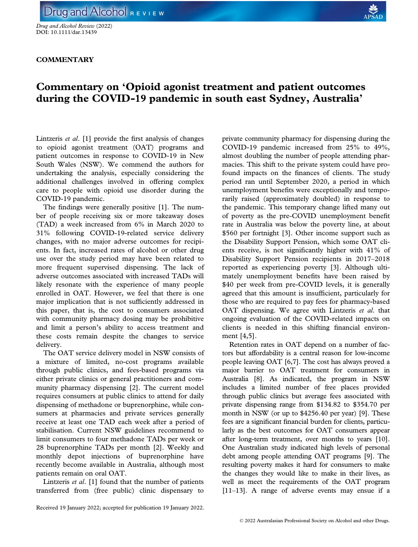Drug and Alcohol Review (2022) DOI: 10.1111/dar.13439

## **COMMENTARY**

# Commentary on 'Opioid agonist treatment and patient outcomes during the COVID-19 pandemic in south east Sydney, Australia'

Lintzeris *et al.* [1] provide the first analysis of changes to opioid agonist treatment (OAT) programs and patient outcomes in response to COVID-19 in New South Wales (NSW). We commend the authors for undertaking the analysis, especially considering the additional challenges involved in offering complex care to people with opioid use disorder during the COVID-19 pandemic.

The findings were generally positive [1]. The number of people receiving six or more takeaway doses (TAD) a week increased from 6% in March 2020 to 31% following COVID-19-related service delivery changes, with no major adverse outcomes for recipients. In fact, increased rates of alcohol or other drug use over the study period may have been related to more frequent supervised dispensing. The lack of adverse outcomes associated with increased TADs will likely resonate with the experience of many people enrolled in OAT. However, we feel that there is one major implication that is not sufficiently addressed in this paper, that is, the cost to consumers associated with community pharmacy dosing may be prohibitive and limit a person's ability to access treatment and these costs remain despite the changes to service delivery.

The OAT service delivery model in NSW consists of a mixture of limited, no-cost programs available through public clinics, and fees-based programs via either private clinics or general practitioners and community pharmacy dispensing [2]. The current model requires consumers at public clinics to attend for daily dispensing of methadone or buprenorphine, while consumers at pharmacies and private services generally receive at least one TAD each week after a period of stabilisation. Current NSW guidelines recommend to limit consumers to four methadone TADs per week or 28 buprenorphine TADs per month [2]. Weekly and monthly depot injections of buprenorphine have recently become available in Australia, although most patients remain on oral OAT.

Lintzeris et al. [1] found that the number of patients transferred from (free public) clinic dispensary to private community pharmacy for dispensing during the COVID-19 pandemic increased from 25% to 49%, almost doubling the number of people attending pharmacies. This shift to the private system could have profound impacts on the finances of clients. The study period ran until September 2020, a period in which unemployment benefits were exceptionally and temporarily raised (approximately doubled) in response to the pandemic. This temporary change lifted many out of poverty as the pre-COVID unemployment benefit rate in Australia was below the poverty line, at about \$560 per fortnight [3]. Other income support such as the Disability Support Pension, which some OAT clients receive, is not significantly higher with 41% of Disability Support Pension recipients in 2017–2018 reported as experiencing poverty [3]. Although ultimately unemployment benefits have been raised by \$40 per week from pre-COVID levels, it is generally agreed that this amount is insufficient, particularly for those who are required to pay fees for pharmacy-based OAT dispensing. We agree with Lintzeris et al. that ongoing evaluation of the COVID-related impacts on clients is needed in this shifting financial environment [4,5].

Retention rates in OAT depend on a number of factors but affordability is a central reason for low-income people leaving OAT [6,7]. The cost has always proved a major barrier to OAT treatment for consumers in Australia [8]. As indicated, the program in NSW includes a limited number of free places provided through public clinics but average fees associated with private dispensing range from \$134.82 to \$354.70 per month in NSW (or up to \$4256.40 per year) [9]. These fees are a significant financial burden for clients, particularly as the best outcomes for OAT consumers appear after long-term treatment, over months to years [10]. One Australian study indicated high levels of personal debt among people attending OAT programs [9]. The resulting poverty makes it hard for consumers to make the changes they would like to make in their lives, as well as meet the requirements of the OAT program [11–13]. A range of adverse events may ensue if a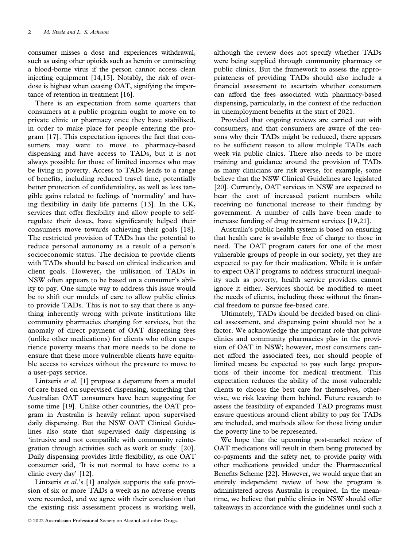consumer misses a dose and experiences withdrawal, such as using other opioids such as heroin or contracting a blood-borne virus if the person cannot access clean injecting equipment [14,15]. Notably, the risk of overdose is highest when ceasing OAT, signifying the importance of retention in treatment [16].

There is an expectation from some quarters that consumers at a public program ought to move on to private clinic or pharmacy once they have stabilised, in order to make place for people entering the program [17]. This expectation ignores the fact that consumers may want to move to pharmacy-based dispensing and have access to TADs, but it is not always possible for those of limited incomes who may be living in poverty. Access to TADs leads to a range of benefits, including reduced travel time, potentially better protection of confidentiality, as well as less tangible gains related to feelings of 'normality' and having flexibility in daily life patterns [13]. In the UK, services that offer flexibility and allow people to selfregulate their doses, have significantly helped their consumers move towards achieving their goals [18]. The restricted provision of TADs has the potential to reduce personal autonomy as a result of a person's socioeconomic status. The decision to provide clients with TADs should be based on clinical indication and client goals. However, the utilisation of TADs in NSW often appears to be based on a consumer's ability to pay. One simple way to address this issue would be to shift our models of care to allow public clinics to provide TADs. This is not to say that there is anything inherently wrong with private institutions like community pharmacies charging for services, but the anomaly of direct payment of OAT dispensing fees (unlike other medications) for clients who often experience poverty means that more needs to be done to ensure that these more vulnerable clients have equitable access to services without the pressure to move to a user-pays service.

Lintzeris et al. [1] propose a departure from a model of care based on supervised dispensing, something that Australian OAT consumers have been suggesting for some time [19]. Unlike other countries, the OAT program in Australia is heavily reliant upon supervised daily dispensing. But the NSW OAT Clinical Guidelines also state that supervised daily dispensing is 'intrusive and not compatible with community reintegration through activities such as work or study' [20]. Daily dispensing provides little flexibility, as one OAT consumer said, 'It is not normal to have come to a clinic every day' [12].

Lintzeris et al.'s [1] analysis supports the safe provision of six or more TADs a week as no adverse events were recorded, and we agree with their conclusion that the existing risk assessment process is working well,

although the review does not specify whether TADs were being supplied through community pharmacy or public clinics. But the framework to assess the appropriateness of providing TADs should also include a financial assessment to ascertain whether consumers can afford the fees associated with pharmacy-based dispensing, particularly, in the context of the reduction in unemployment benefits at the start of 2021.

Provided that ongoing reviews are carried out with consumers, and that consumers are aware of the reasons why their TADs might be reduced, there appears to be sufficient reason to allow multiple TADs each week via public clnics. There also needs to be more training and guidance around the provision of TADs as many clinicians are risk averse, for example, some believe that the NSW Clinical Guidelines are legislated [20]. Currently, OAT services in NSW are expected to bear the cost of increased patient numbers while receiving no functional increase to their funding by government. A number of calls have been made to increase funding of drug treatment services [19,21].

Australia's public health system is based on ensuring that health care is available free of charge to those in need. The OAT program caters for one of the most vulnerable groups of people in our society, yet they are expected to pay for their medication. While it is unfair to expect OAT programs to address structural inequality such as poverty, health service providers cannot ignore it either. Services should be modified to meet the needs of clients, including those without the financial freedom to pursue fee-based care.

Ultimately, TADs should be decided based on clinical assessment, and dispensing point should not be a factor. We acknowledge the important role that private clinics and community pharmacies play in the provision of OAT in NSW; however, most consumers cannot afford the associated fees, nor should people of limited means be expected to pay such large proportions of their income for medical treatment. This expectation reduces the ability of the most vulnerable clients to choose the best care for themselves, otherwise, we risk leaving them behind. Future research to assess the feasibility of expanded TAD programs must ensure questions around client ability to pay for TADs are included, and methods allow for those living under the poverty line to be represented.

We hope that the upcoming post-market review of OAT medications will result in them being protected by co-payments and the safety net, to provide parity with other medications provided under the Pharmaceutical Benefits Scheme [22]. However, we would argue that an entirely independent review of how the program is administered across Australia is required. In the meantime, we believe that public clinics in NSW should offer takeaways in accordance with the guidelines until such a